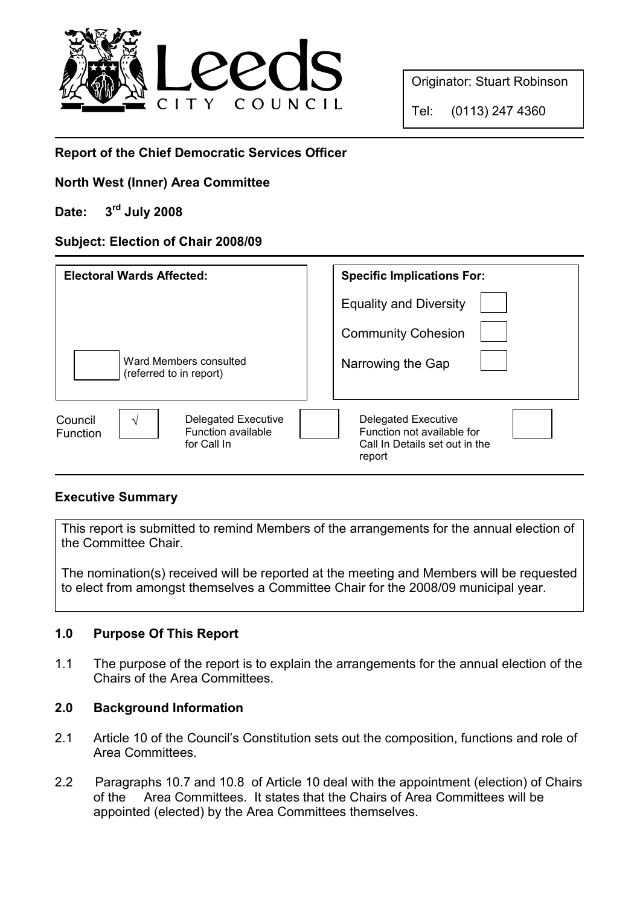

Originator: Stuart Robinson

Tel: (0113) 247 4360

# Report of the Chief Democratic Services Officer

### North West (Inner) Area Committee

# Date: 3rd July 2008

#### Subject: Election of Chair 2008/09

| <b>Electoral Wards Affected:</b>                                                       | <b>Specific Implications For:</b>                                                                    |
|----------------------------------------------------------------------------------------|------------------------------------------------------------------------------------------------------|
|                                                                                        | <b>Equality and Diversity</b>                                                                        |
|                                                                                        | <b>Community Cohesion</b>                                                                            |
| Ward Members consulted<br>(referred to in report)                                      | Narrowing the Gap                                                                                    |
| <b>Delegated Executive</b><br>Council<br>Function available<br>Function<br>for Call In | <b>Delegated Executive</b><br>Function not available for<br>Call In Details set out in the<br>report |

#### Executive Summary

This report is submitted to remind Members of the arrangements for the annual election of the Committee Chair.

The nomination(s) received will be reported at the meeting and Members will be requested to elect from amongst themselves a Committee Chair for the 2008/09 municipal year.

# 1.0 Purpose Of This Report

1.1 The purpose of the report is to explain the arrangements for the annual election of the Chairs of the Area Committees.

#### 2.0 Background Information

- 2.1 Article 10 of the Council's Constitution sets out the composition, functions and role of Area Committees.
- 2.2 Paragraphs 10.7 and 10.8 of Article 10 deal with the appointment (election) of Chairs of the Area Committees. It states that the Chairs of Area Committees will be appointed (elected) by the Area Committees themselves.